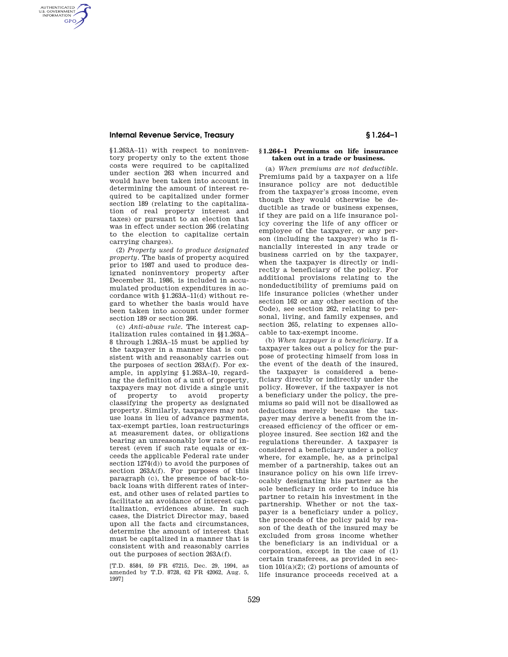### **Internal Revenue Service, Treasury § 1.264–1**

AUTHENTICATED<br>U.S. GOVERNMENT<br>INFORMATION GPO

> §1.263A–11) with respect to noninventory property only to the extent those costs were required to be capitalized under section 263 when incurred and would have been taken into account in determining the amount of interest required to be capitalized under former section 189 (relating to the capitalization of real property interest and taxes) or pursuant to an election that was in effect under section 266 (relating to the election to capitalize certain carrying charges).

> (2) *Property used to produce designated property*. The basis of property acquired prior to 1987 and used to produce designated noninventory property after December 31, 1986, is included in accumulated production expenditures in accordance with §1.263A–11(d) without regard to whether the basis would have been taken into account under former section 189 or section 266.

> (c) *Anti-abuse rule*. The interest capitalization rules contained in §§1.263A– 8 through 1.263A–15 must be applied by the taxpayer in a manner that is consistent with and reasonably carries out the purposes of section 263A(f). For example, in applying §1.263A–10, regarding the definition of a unit of property, taxpayers may not divide a single unit of property to avoid property classifying the property as designated property. Similarly, taxpayers may not use loans in lieu of advance payments, tax-exempt parties, loan restructurings at measurement dates, or obligations bearing an unreasonably low rate of interest (even if such rate equals or exceeds the applicable Federal rate under section 1274(d)) to avoid the purposes of section 263A(f). For purposes of this paragraph (c), the presence of back-toback loans with different rates of interest, and other uses of related parties to facilitate an avoidance of interest capitalization, evidences abuse. In such cases, the District Director may, based upon all the facts and circumstances, determine the amount of interest that must be capitalized in a manner that is consistent with and reasonably carries out the purposes of section 263A(f).

[T.D. 8584, 59 FR 67215, Dec. 29, 1994, as amended by T.D. 8728, 62 FR 42062, Aug. 5, 1997]

## **§ 1.264–1 Premiums on life insurance taken out in a trade or business.**

(a) *When premiums are not deductible.* Premiums paid by a taxpayer on a life insurance policy are not deductible from the taxpayer's gross income, even though they would otherwise be deductible as trade or business expenses, if they are paid on a life insurance policy covering the life of any officer or employee of the taxpayer, or any person (including the taxpayer) who is financially interested in any trade or business carried on by the taxpayer, when the taxpayer is directly or indirectly a beneficiary of the policy. For additional provisions relating to the nondeductibility of premiums paid on life insurance policies (whether under section 162 or any other section of the Code), see section 262, relating to personal, living, and family expenses, and section 265, relating to expenses allocable to tax-exempt income.

(b) *When taxpayer is a beneficiary.* If a taxpayer takes out a policy for the purpose of protecting himself from loss in the event of the death of the insured, the taxpayer is considered a beneficiary directly or indirectly under the policy. However, if the taxpayer is not a beneficiary under the policy, the premiums so paid will not be disallowed as deductions merely because the taxpayer may derive a benefit from the increased efficiency of the officer or employee insured. See section 162 and the regulations thereunder. A taxpayer is considered a beneficiary under a policy where, for example, he, as a principal member of a partnership, takes out an insurance policy on his own life irrevocably designating his partner as the sole beneficiary in order to induce his partner to retain his investment in the partnership. Whether or not the taxpayer is a beneficiary under a policy, the proceeds of the policy paid by reason of the death of the insured may be excluded from gross income whether the beneficiary is an individual or a corporation, except in the case of (1) certain transferees, as provided in section  $101(a)(2)$ ; (2) portions of amounts of life insurance proceeds received at a